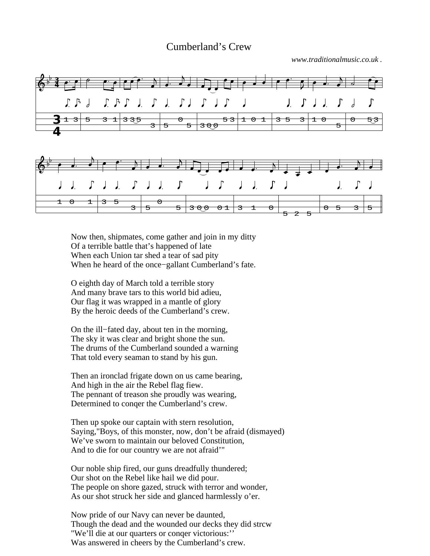## Cumberland's Crew

*www.traditionalmusic.co.uk .*



Now then, shipmates, come gather and join in my ditty Of a terrible battle that's happened of late When each Union tar shed a tear of sad pity When he heard of the once−gallant Cumberland's fate.

O eighth day of March told a terrible story And many brave tars to this world bid adieu, Our flag it was wrapped in a mantle of glory By the heroic deeds of the Cumberland's crew.

On the ill−fated day, about ten in the morning, The sky it was clear and bright shone the sun. The drums of the Cumberland sounded a warning That told every seaman to stand by his gun.

Then an ironclad frigate down on us came bearing, And high in the air the Rebel flag fiew. The pennant of treason she proudly was wearing, Determined to conqer the Cumberland's crew.

Then up spoke our captain with stern resolution, Saying,"Boys, of this monster, now, don't be afraid (dismayed) We've sworn to maintain our beloved Constitution, And to die for our country we are not afraid'"

Our noble ship fired, our guns dreadfully thundered; Our shot on the Rebel like hail we did pour. The people on shore gazed, struck with terror and wonder, As our shot struck her side and glanced harmlessly o'er.

Now pride of our Navy can never be daunted, Though the dead and the wounded our decks they did strcw "We'll die at our quarters or conqer victorious:'' Was answered in cheers by the Cumberland's crew.